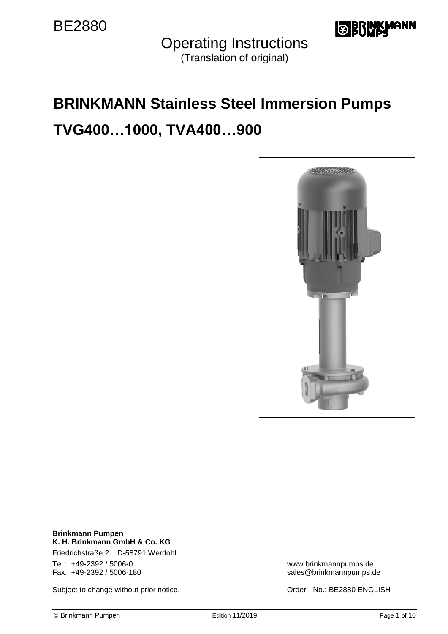

Operating Instructions (Translation of original)

# **BRINKMANN Stainless Steel Immersion Pumps TVG400…1000, TVA400…900**



**Brinkmann Pumpen K. H. Brinkmann GmbH & Co. KG** Friedrichstraße 2 D-58791 Werdohl Tel.: +49-2392 / 5006-0<br>
Fax.: +49-2392 / 5006-180<br>
Sales@brinkmannpumps.c

Subject to change without prior notice. <br>
Subject to change without prior notice.<br>
Order - No.: BE2880 ENGLISH

sales@brinkmannpumps.de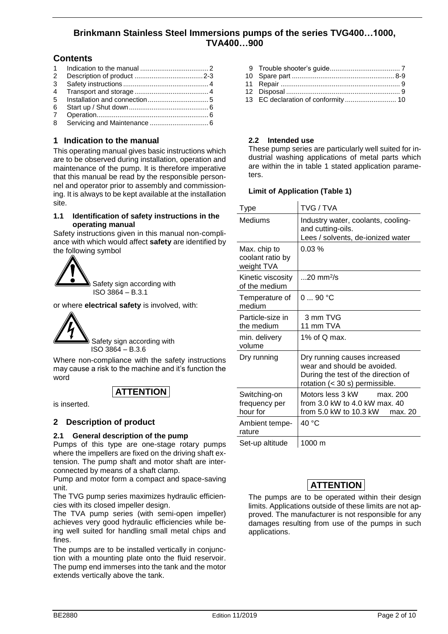### **Brinkmann Stainless Steel Immersions pumps of the series TVG400…1000, TVA400…900**

### **Contents**

 Indication to the manual .................................... 2 Description of product ....................................2-3 Safety instructions ............................................. 4 Transport and storage ....................................... 4 Installation and connection................................ 5 Start up / Shut down.......................................... 6 Operation........................................................... 6 Servicing and Maintenance ............................... 6

### **1 Indication to the manual**

This operating manual gives basic instructions which are to be observed during installation, operation and maintenance of the pump. It is therefore imperative that this manual be read by the responsible personnel and operator prior to assembly and commissioning. It is always to be kept available at the installation site.

### **1.1 Identification of safety instructions in the operating manual**

Safety instructions given in this manual non-compliance with which would affect **safety** are identified by the following symbol



or where **electrical safety** is involved, with:



 ISO 3864 – B.3.6 Where non-compliance with the safety instructions may cause a risk to the machine and it's function the

# **ATTENTION**

is inserted.

word

### **2 Description of product**

### **2.1 General description of the pump**

Pumps of this type are one-stage rotary pumps where the impellers are fixed on the driving shaft extension. The pump shaft and motor shaft are interconnected by means of a shaft clamp.

Pump and motor form a compact and space-saving unit.

The TVG pump series maximizes hydraulic efficiencies with its closed impeller design.

The TVA pump series (with semi-open impeller) achieves very good hydraulic efficiencies while being well suited for handling small metal chips and fines.

The pumps are to be installed vertically in conjunction with a mounting plate onto the fluid reservoir. The pump end immerses into the tank and the motor extends vertically above the tank.

- 11 Repair ............................................................... 9
- 12 Disposal ............................................................ 9
- 13 EC declaration of conformity ........................... 10

### **2.2 Intended use**

These pump series are particularly well suited for industrial washing applications of metal parts which are within the in table 1 stated application parameters.

#### **Limit of Application (Table 1)**  $\overline{1}$

| Type                                           | TVG / TVA                                                                                                                                    |  |  |
|------------------------------------------------|----------------------------------------------------------------------------------------------------------------------------------------------|--|--|
| Mediums                                        | Industry water, coolants, cooling-<br>and cutting-oils.<br>Lees / solvents, de-ionized water                                                 |  |  |
| Max. chip to<br>coolant ratio by<br>weight TVA | 0.03%                                                                                                                                        |  |  |
| Kinetic viscosity<br>of the medium             | $20$ mm <sup>2</sup> /s                                                                                                                      |  |  |
| Temperature of<br>medium                       | 090 °C                                                                                                                                       |  |  |
| Particle-size in<br>the medium                 | 3 mm TVG<br>11 mm TVA                                                                                                                        |  |  |
| min. delivery<br>volume                        | 1% of Q max.                                                                                                                                 |  |  |
| Dry running                                    | Dry running causes increased<br>wear and should be avoided.<br>During the test of the direction of<br>rotation $(30 \text{ s})$ permissible. |  |  |
| Switching-on<br>frequency per<br>hour for      | Motors less 3 kW<br>max. 200<br>from 3.0 kW to 4.0 kW max. 40<br>from 5.0 kW to 10.3 kW<br>max. 20                                           |  |  |
| Ambient tempe-<br>rature                       | 40 °C                                                                                                                                        |  |  |
| Set-up altitude                                | 1000 m                                                                                                                                       |  |  |

## **ATTENTION**

The pumps are to be operated within their design limits. Applications outside of these limits are not approved. The manufacturer is not responsible for any damages resulting from use of the pumps in such applications.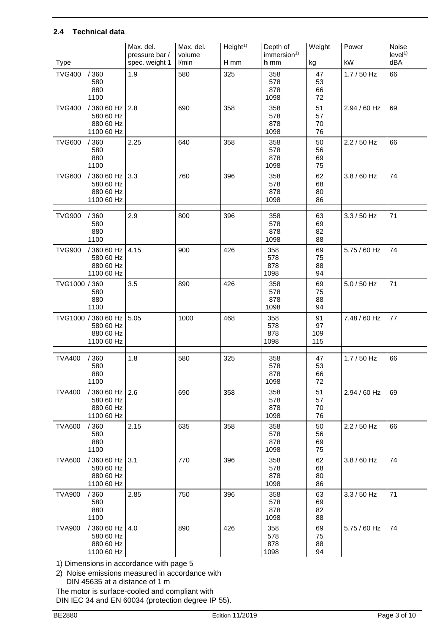### **2.4 Technical data**

|               |                                                             | Max. del.<br>pressure bar / | Max. del.<br>volume | Height <sup>1</sup> | Depth of<br>immersion <sup>1)</sup> | Weight                 | Power         | Noise<br>level <sup>1</sup> |
|---------------|-------------------------------------------------------------|-----------------------------|---------------------|---------------------|-------------------------------------|------------------------|---------------|-----------------------------|
| <b>Type</b>   |                                                             | spec. weight 1              | l/min               | H mm                | h mm                                | kg                     | kW            | dBA                         |
| <b>TVG400</b> | /360<br>580<br>880<br>1100                                  | 1.9                         | 580                 | 325                 | 358<br>578<br>878<br>1098           | 47<br>53<br>66<br>72   | $1.7 / 50$ Hz | 66                          |
| <b>TVG400</b> | /360 60 Hz<br>580 60 Hz<br>880 60 Hz<br>1100 60 Hz          | 2.8                         | 690                 | 358                 | 358<br>578<br>878<br>1098           | 51<br>57<br>70<br>76   | 2.94 / 60 Hz  | 69                          |
| <b>TVG600</b> | /360<br>580<br>880<br>1100                                  | 2.25                        | 640                 | 358                 | 358<br>578<br>878<br>1098           | 50<br>56<br>69<br>75   | 2.2 / 50 Hz   | 66                          |
| <b>TVG600</b> | / 360 60 Hz<br>580 60 Hz<br>880 60 Hz<br>1100 60 Hz         | 3.3                         | 760                 | 396                 | 358<br>578<br>878<br>1098           | 62<br>68<br>80<br>86   | $3.8 / 60$ Hz | 74                          |
| <b>TVG900</b> | /360<br>580<br>880<br>1100                                  | 2.9                         | 800                 | 396                 | 358<br>578<br>878<br>1098           | 63<br>69<br>82<br>88   | $3.3 / 50$ Hz | 71                          |
| <b>TVG900</b> | / 360 60 Hz<br>580 60 Hz<br>880 60 Hz<br>1100 60 Hz         | 4.15                        | 900                 | 426                 | 358<br>578<br>878<br>1098           | 69<br>75<br>88<br>94   | 5.75 / 60 Hz  | 74                          |
| TVG1000 / 360 | 580<br>880<br>1100                                          | 3.5                         | 890                 | 426                 | 358<br>578<br>878<br>1098           | 69<br>75<br>88<br>94   | 5.0 / 50 Hz   | 71                          |
|               | TVG1000 / 360 60 Hz<br>580 60 Hz<br>880 60 Hz<br>1100 60 Hz | 5.05                        | 1000                | 468                 | 358<br>578<br>878<br>1098           | 91<br>97<br>109<br>115 | 7.48 / 60 Hz  | 77                          |
| <b>TVA400</b> | /360<br>580<br>880<br>1100                                  | 1.8                         | 580                 | 325                 | 358<br>578<br>878<br>1098           | 47<br>53<br>66<br>72   | $1.7/50$ Hz   | 66                          |
| <b>TVA400</b> | / 360 60 Hz<br>580 60 Hz<br>880 60 Hz<br>1100 60 Hz         | 2.6                         | 690                 | 358                 | 358<br>578<br>878<br>1098           | 51<br>57<br>70<br>76   | 2.94 / 60 Hz  | 69                          |
| <b>TVA600</b> | /360<br>580<br>880<br>1100                                  | 2.15                        | 635                 | 358                 | 358<br>578<br>878<br>1098           | 50<br>56<br>69<br>75   | $2.2 / 50$ Hz | 66                          |
| <b>TVA600</b> | / 360 60 Hz<br>580 60 Hz<br>880 60 Hz<br>1100 60 Hz         | 3.1                         | 770                 | 396                 | 358<br>578<br>878<br>1098           | 62<br>68<br>80<br>86   | $3.8 / 60$ Hz | 74                          |
| <b>TVA900</b> | /360<br>580<br>880<br>1100                                  | 2.85                        | 750                 | 396                 | 358<br>578<br>878<br>1098           | 63<br>69<br>82<br>88   | $3.3 / 50$ Hz | 71                          |
| <b>TVA900</b> | / 360 60 Hz<br>580 60 Hz<br>880 60 Hz<br>1100 60 Hz         | 4.0                         | 890                 | 426                 | 358<br>578<br>878<br>1098           | 69<br>75<br>88<br>94   | 5.75 / 60 Hz  | 74                          |

1) Dimensions in accordance with page 5

2) Noise emissions measured in accordance with DIN 45635 at a distance of 1 m

The motor is surface-cooled and compliant with DIN IEC 34 and EN 60034 (protection degree IP 55).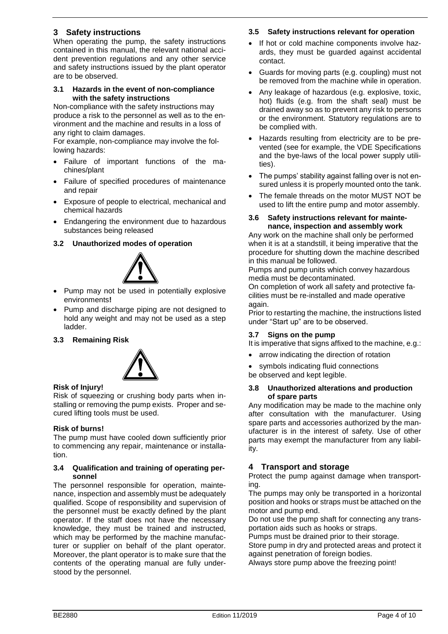### **3 Safety instructions**

When operating the pump, the safety instructions contained in this manual, the relevant national accident prevention regulations and any other service and safety instructions issued by the plant operator are to be observed.

### **3.1 Hazards in the event of non-compliance with the safety instructions**

Non-compliance with the safety instructions may produce a risk to the personnel as well as to the environment and the machine and results in a loss of any right to claim damages.

For example, non-compliance may involve the following hazards:

- Failure of important functions of the machines/plant
- Failure of specified procedures of maintenance and repair
- Exposure of people to electrical, mechanical and chemical hazards
- Endangering the environment due to hazardous substances being released

### **3.2 Unauthorized modes of operation**



- Pump may not be used in potentially explosive environments**!**
- Pump and discharge piping are not designed to hold any weight and may not be used as a step ladder.

### **3.3 Remaining Risk**



### **Risk of Injury!**

Risk of squeezing or crushing body parts when installing or removing the pump exists. Proper and secured lifting tools must be used.

### **Risk of burns!**

The pump must have cooled down sufficiently prior to commencing any repair, maintenance or installation.

### **3.4 Qualification and training of operating personnel**

The personnel responsible for operation, maintenance, inspection and assembly must be adequately qualified. Scope of responsibility and supervision of the personnel must be exactly defined by the plant operator. If the staff does not have the necessary knowledge, they must be trained and instructed, which may be performed by the machine manufacturer or supplier on behalf of the plant operator. Moreover, the plant operator is to make sure that the contents of the operating manual are fully understood by the personnel.

### **3.5 Safety instructions relevant for operation**

- If hot or cold machine components involve hazards, they must be guarded against accidental contact.
- Guards for moving parts (e.g. coupling) must not be removed from the machine while in operation.
- Any leakage of hazardous (e.g. explosive, toxic, hot) fluids (e.g. from the shaft seal) must be drained away so as to prevent any risk to persons or the environment. Statutory regulations are to be complied with.
- Hazards resulting from electricity are to be prevented (see for example, the VDE Specifications and the bye-laws of the local power supply utilities).
- The pumps' stability against falling over is not ensured unless it is properly mounted onto the tank.
- The female threads on the motor MUST NOT be used to lift the entire pump and motor assembly.

### **3.6 Safety instructions relevant for maintenance, inspection and assembly work**

Any work on the machine shall only be performed when it is at a standstill, it being imperative that the procedure for shutting down the machine described in this manual be followed.

Pumps and pump units which convey hazardous media must be decontaminated.

On completion of work all safety and protective facilities must be re-installed and made operative again.

Prior to restarting the machine, the instructions listed under "Start up" are to be observed.

### **3.7 Signs on the pump**

It is imperative that signs affixed to the machine, e.g.:

arrow indicating the direction of rotation

symbols indicating fluid connections

be observed and kept legible.

### **3.8 Unauthorized alterations and production of spare parts**

Any modification may be made to the machine only after consultation with the manufacturer. Using spare parts and accessories authorized by the manufacturer is in the interest of safety. Use of other parts may exempt the manufacturer from any liability.

### **4 Transport and storage**

Protect the pump against damage when transporting.

The pumps may only be transported in a horizontal position and hooks or straps must be attached on the motor and pump end.

Do not use the pump shaft for connecting any transportation aids such as hooks or straps.

Pumps must be drained prior to their storage.

Store pump in dry and protected areas and protect it against penetration of foreign bodies.

Always store pump above the freezing point!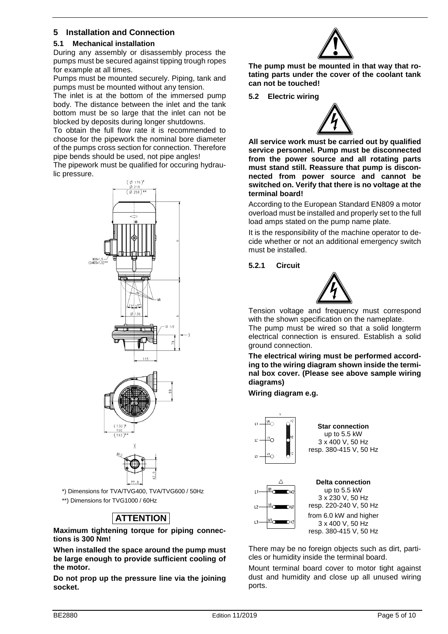### **5 Installation and Connection**

### **5.1 Mechanical installation**

During any assembly or disassembly process the pumps must be secured against tipping trough ropes for example at all times.

Pumps must be mounted securely. Piping, tank and pumps must be mounted without any tension.

The inlet is at the bottom of the immersed pump body. The distance between the inlet and the tank bottom must be so large that the inlet can not be blocked by deposits during longer shutdowns.

To obtain the full flow rate it is recommended to choose for the pipework the nominal bore diameter of the pumps cross section for connection. Therefore pipe bends should be used, not pipe angles!

The pipework must be qualified for occuring hydraulic pressure.





\*) Dimensions for TVA/TVG400, TVA/TVG600 / 50Hz \*\*) Dimensions for TVG1000 / 60Hz

# **ATTENTION**

**Maximum tightening torque for piping connections is 300 Nm!**

**When installed the space around the pump must be large enough to provide sufficient cooling of the motor.**

**Do not prop up the pressure line via the joining socket.**



**The pump must be mounted in that way that rotating parts under the cover of the coolant tank can not be touched!**

**5.2 Electric wiring**



**All service work must be carried out by qualified service personnel. Pump must be disconnected from the power source and all rotating parts must stand still. Reassure that pump is disconnected from power source and cannot be switched on. Verify that there is no voltage at the terminal board!**

According to the European Standard EN809 a motor overload must be installed and properly set to the full load amps stated on the pump name plate.

It is the responsibility of the machine operator to decide whether or not an additional emergency switch must be installed.

**5.2.1 Circuit**



Tension voltage and frequency must correspond with the shown specification on the nameplate.

The pump must be wired so that a solid longterm electrical connection is ensured. Establish a solid ground connection.

**The electrical wiring must be performed according to the wiring diagram shown inside the terminal box cover. (Please see above sample wiring diagrams)**

**Wiring diagram e.g.**



**Star connection** up to 5.5 kW 3 x 400 V, 50 Hz resp. 380-415 V, 50 Hz



**Delta connection** up to 5.5 kW 3 x 230 V, 50 Hz resp. 220-240 V, 50 Hz from 6.0 kW and higher 3 x 400 V, 50 Hz resp. 380-415 V, 50 Hz

There may be no foreign objects such as dirt, particles or humidity inside the terminal board.

Mount terminal board cover to motor tight against dust and humidity and close up all unused wiring ports.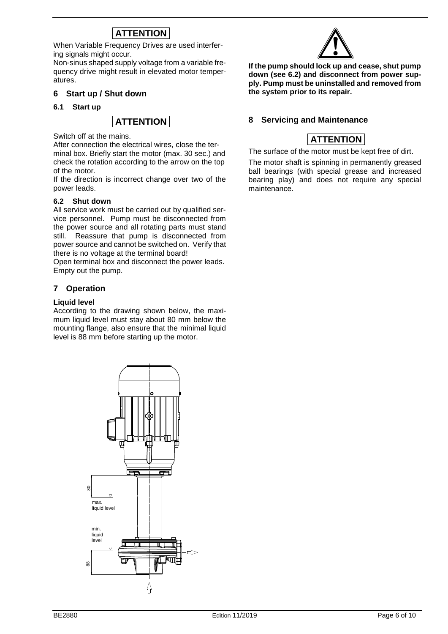# **ATTENTION**

When Variable Frequency Drives are used interfering signals might occur.

Non-sinus shaped supply voltage from a variable frequency drive might result in elevated motor temperatures.

### **6 Start up / Shut down**

### **6.1 Start up**



Switch off at the mains.

After connection the electrical wires, close the terminal box. Briefly start the motor (max. 30 sec.) and check the rotation according to the arrow on the top of the motor.

If the direction is incorrect change over two of the power leads.

### **6.2 Shut down**

All service work must be carried out by qualified service personnel. Pump must be disconnected from the power source and all rotating parts must stand still. Reassure that pump is disconnected from power source and cannot be switched on. Verify that there is no voltage at the terminal board!

Open terminal box and disconnect the power leads. Empty out the pump.

### **7 Operation**

### **Liquid level**

According to the drawing shown below, the maximum liquid level must stay about 80 mm below the mounting flange, also ensure that the minimal liquid level is 88 mm before starting up the motor.





**If the pump should lock up and cease, shut pump down (see 6.2) and disconnect from power supply. Pump must be uninstalled and removed from the system prior to its repair.**

### **8 Servicing and Maintenance**

### **ATTENTION**

The surface of the motor must be kept free of dirt.

The motor shaft is spinning in permanently greased ball bearings (with special grease and increased bearing play) and does not require any special maintenance.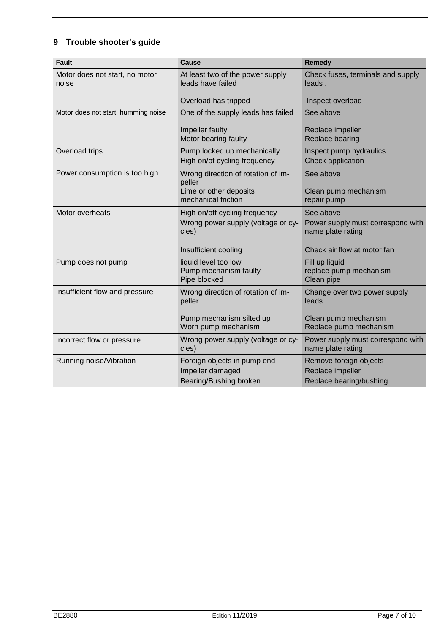# **9 Trouble shooter's guide**

| <b>Fault</b>                            | <b>Cause</b>                                                  | <b>Remedy</b>                                          |  |
|-----------------------------------------|---------------------------------------------------------------|--------------------------------------------------------|--|
| Motor does not start, no motor<br>noise | At least two of the power supply<br>leads have failed         | Check fuses, terminals and supply<br>leads.            |  |
|                                         | Overload has tripped                                          | Inspect overload                                       |  |
| Motor does not start, humming noise     | One of the supply leads has failed                            | See above                                              |  |
|                                         | Impeller faulty<br>Motor bearing faulty                       | Replace impeller<br>Replace bearing                    |  |
| Overload trips                          | Pump locked up mechanically                                   | Inspect pump hydraulics                                |  |
|                                         | High on/of cycling frequency                                  | Check application                                      |  |
| Power consumption is too high           | Wrong direction of rotation of im-<br>peller                  | See above                                              |  |
|                                         | Lime or other deposits<br>mechanical friction                 | Clean pump mechanism<br>repair pump                    |  |
| Motor overheats                         | High on/off cycling frequency                                 | See above                                              |  |
|                                         | Wrong power supply (voltage or cy-<br>cles)                   | Power supply must correspond with<br>name plate rating |  |
|                                         | Insufficient cooling                                          | Check air flow at motor fan                            |  |
| Pump does not pump                      | liquid level too low<br>Pump mechanism faulty<br>Pipe blocked | Fill up liquid<br>replace pump mechanism<br>Clean pipe |  |
| Insufficient flow and pressure          | Wrong direction of rotation of im-<br>peller                  | Change over two power supply<br>leads                  |  |
|                                         | Pump mechanism silted up<br>Worn pump mechanism               | Clean pump mechanism<br>Replace pump mechanism         |  |
| Incorrect flow or pressure              | Wrong power supply (voltage or cy-<br>cles)                   | Power supply must correspond with<br>name plate rating |  |
| Running noise/Vibration                 | Foreign objects in pump end                                   | Remove foreign objects                                 |  |
|                                         | Impeller damaged                                              | Replace impeller                                       |  |
|                                         | <b>Bearing/Bushing broken</b>                                 | Replace bearing/bushing                                |  |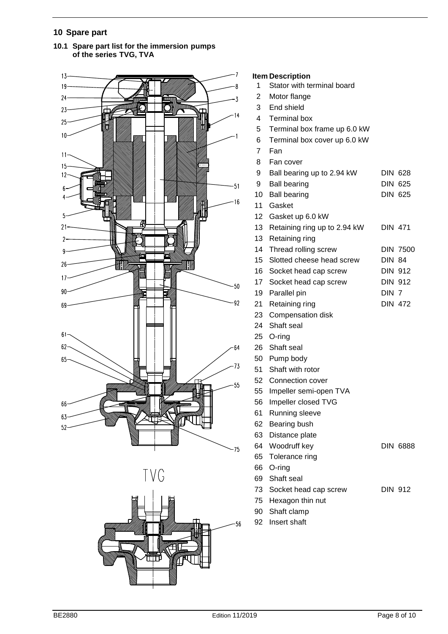### **Spare part**







### **Item Description**

- Stator with terminal board
- Motor flange
- End shield
- Terminal box
- Terminal box frame up 6.0 kW
- Terminal box cover up 6.0 kW
- Fan
- Fan cover
- 9 Ball bearing up to 2.94 kW DIN 628 9 Ball bearing DIN 625 10 Ball bearing DIN 625
- Gasket
- Gasket up 6.0 kW 13 Retaining ring up to 2.94 kW DIN 471
- Retaining ring
- 14 Thread rolling screw DIN 7500
- Slotted cheese head screw DIN 84
- 16 Socket head cap screw DIN 912 17 Socket head cap screw DIN 912
- 19 Parallel pin DIN 7
- 21 Retaining ring DIN 472
- Compensation disk
- Shaft seal
- O-ring
- Shaft seal
- Pump body
- Shaft with rotor
- Connection cover
- Impeller semi-open TVA
- Impeller closed TVG
- Running sleeve
- Bearing bush
- Distance plate
- 64 Woodruff key DIN 6888
- Tolerance ring
- O-ring
- Shaft seal
- 73 Socket head cap screw DIN 912
- Hexagon thin nut
- Shaft clamp
- Insert shaft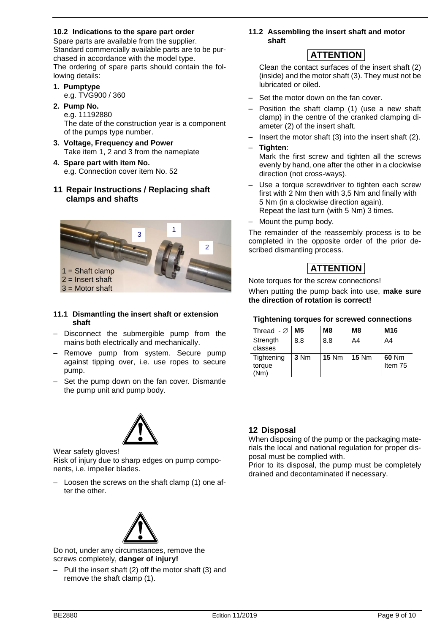### **10.2 Indications to the spare part order**

Spare parts are available from the supplier. Standard commercially available parts are to be purchased in accordance with the model type. The ordering of spare parts should contain the following details:

**1. Pumptype** e.g. TVG900 / 360

**2. Pump No.**

e.g. 11192880

The date of the construction year is a component of the pumps type number.

- **3. Voltage, Frequency and Power** Take item 1, 2 and 3 from the nameplate
- **4. Spare part with item No.** e.g. Connection cover item No. 52
- **11 Repair Instructions / Replacing shaft clamps and shafts**



### **11.1 Dismantling the insert shaft or extension shaft**

- Disconnect the submergible pump from the mains both electrically and mechanically.
- Remove pump from system. Secure pump against tipping over, i.e. use ropes to secure pump.
- Set the pump down on the fan cover. Dismantle the pump unit and pump body.



Wear safety gloves!

Risk of injury due to sharp edges on pump components, i.e. impeller blades.

– Loosen the screws on the shaft clamp (1) one after the other.



Do not, under any circumstances, remove the screws completely, **danger of injury!**

– Pull the insert shaft (2) off the motor shaft (3) and remove the shaft clamp (1).

**11.2 Assembling the insert shaft and motor shaft** 

# **ATTENTION**

Clean the contact surfaces of the insert shaft (2) (inside) and the motor shaft (3). They must not be lubricated or oiled.

- Set the motor down on the fan cover.
- Position the shaft clamp (1) (use a new shaft clamp) in the centre of the cranked clamping diameter (2) of the insert shaft.
- Insert the motor shaft (3) into the insert shaft (2).
- **Tighten**:

Mark the first screw and tighten all the screws evenly by hand, one after the other in a clockwise direction (not cross-ways).

- Use a torque screwdriver to tighten each screw first with 2 Nm then with 3,5 Nm and finally with 5 Nm (in a clockwise direction again). Repeat the last turn (with 5 Nm) 3 times.
- Mount the pump body.

The remainder of the reassembly process is to be completed in the opposite order of the prior described dismantling process.

# **ATTENTION**

Note torques for the screw connections! When putting the pump back into use, **make sure the direction of rotation is correct!**

### **Tightening torques for screwed connections**

| Thread $-\varnothing$        | M <sub>5</sub> | M <sub>8</sub> | M <sub>8</sub> | M <sub>16</sub>  |
|------------------------------|----------------|----------------|----------------|------------------|
| Strength<br>classes          | 8.8            | 8.8            | A4             | A4               |
| Tightening<br>torque<br>(Nm) | 3 Nm           | $15$ Nm        | $15$ Nm        | 60 Nm<br>Item 75 |

### **12 Disposal**

When disposing of the pump or the packaging materials the local and national regulation for proper disposal must be complied with.

Prior to its disposal, the pump must be completely drained and decontaminated if necessary.